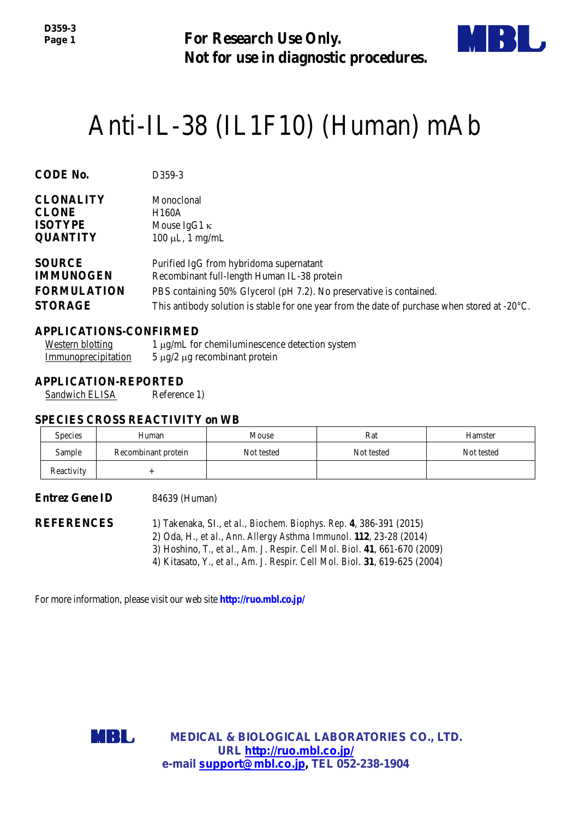**For Research Use Only. Not for use in diagnostic procedures.**



# Anti-IL-38 (IL1F10) (Human) mAb

| <b>CODE No.</b>    | D <sub>359</sub> -3                                                                                     |  |
|--------------------|---------------------------------------------------------------------------------------------------------|--|
| <b>CLONALITY</b>   | Monoclonal                                                                                              |  |
| <b>CLONE</b>       | H <sub>160</sub> A                                                                                      |  |
| <b>ISOTYPE</b>     | Mouse IgG1 $\kappa$                                                                                     |  |
| <b>QUANTITY</b>    | $100 \mu L$ , 1 mg/mL                                                                                   |  |
| <b>SOURCE</b>      | Purified IgG from hybridoma supernatant                                                                 |  |
| <b>IMMUNOGEN</b>   | Recombinant full-length Human IL-38 protein                                                             |  |
| <b>FORMULATION</b> | PBS containing 50% Glycerol (pH 7.2). No preservative is contained.                                     |  |
| <b>STORAGE</b>     | This antibody solution is stable for one year from the date of purchase when stored at $-20^{\circ}$ C. |  |

#### **APPLICATIONS-CONFIRMED**

| Western blotting    | 1 μg/mL for chemiluminescence detection system |
|---------------------|------------------------------------------------|
| Immunoprecipitation | $5 \mu g/2 \mu g$ recombinant protein          |

#### **APPLICATION-REPORTED**

Sandwich ELISA Reference 1)

#### **SPECIES CROSS REACTIVITY on WB**

| <b>Species</b> | Human               | Mouse      | Rat        | Hamster    |
|----------------|---------------------|------------|------------|------------|
| Sample         | Recombinant protein | Not tested | Not tested | Not tested |
| Reactivity     |                     |            |            |            |

#### **Entrez Gene ID** 84639 (Human)

**REFERENCES** 1) Takenaka, SI., *et al.*, *Biochem. Biophys. Rep.* **4**, 386-391 (2015) 2) Oda, H., *et al.*, *Ann. [Allergy Asthma Immunol.](http://www.ncbi.nlm.nih.gov/pubmed/?term=24331389)* **112**, 23-28 (2014) 3) Hoshino, T., *et al.*, *Am. J. Respir. [Cell Mol.](http://www.ncbi.nlm.nih.gov/pubmed/?term=Am+J+Respir+Cell+Mol+Biol%2C%3B+31%2C+619-25+%282004%29) Biol.* **41**, 661-670 (2009) 4) Kitasato, Y., *et al.*, *Am. J. Respir. [Cell Mol.](http://www.ncbi.nlm.nih.gov/pubmed/?term=Am+J+Respir+Cell+Mol+Biol%2C%3B+31%2C+619-25+%282004%29) Biol.* **31**, 619-625 (2004)

For more information, please visit our web site **http://ruo.mbl.co.jp/**



**MEDICAL & BIOLOGICAL LABORATORIES CO., LTD. URL [http://ruo.mbl.co.jp/](https://ruo.mbl.co.jp/) e-mail [support@mbl.co.jp,](mailto:support@mbl.co.jp) TEL 052-238-1904**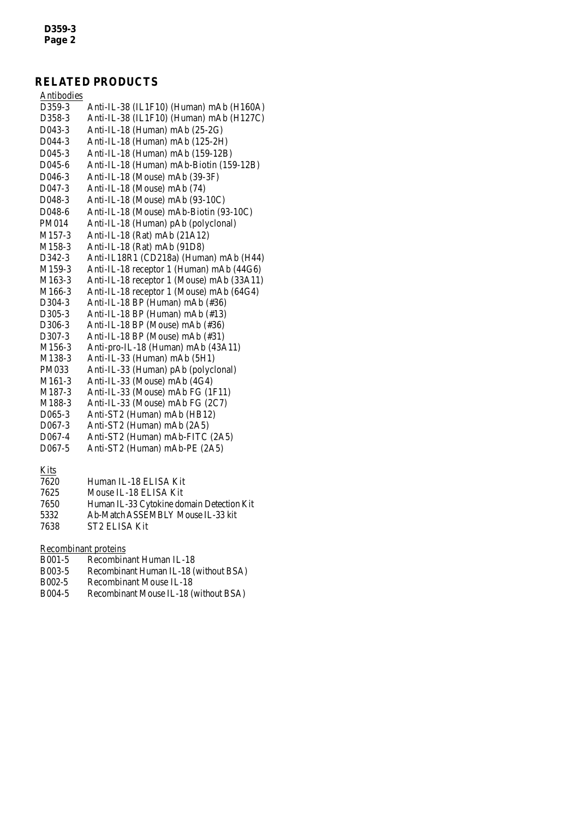## **RELATED PRODUCTS**

| Antibodies          |                                           |
|---------------------|-------------------------------------------|
| D359-3              | Anti-IL-38 (IL1F10) (Human) mAb (H160A)   |
| D358-3              | Anti-IL-38 (IL1F10) (Human) mAb (H127C)   |
| D043-3              | Anti-IL-18 (Human) mAb (25-2G)            |
| D044-3              | Anti-IL-18 (Human) mAb (125-2H)           |
| D045-3              | Anti-IL-18 (Human) mAb (159-12B)          |
| D045-6              | Anti-IL-18 (Human) mAb-Biotin (159-12B)   |
| D046-3              | Anti-IL-18 (Mouse) mAb (39-3F)            |
| D047-3              | Anti-IL-18 (Mouse) mAb (74)               |
| D048-3              | Anti-IL-18 (Mouse) mAb (93-10C)           |
| D048-6              | Anti-IL-18 (Mouse) mAb-Biotin (93-10C)    |
| PM014               | Anti-IL-18 (Human) pAb (polyclonal)       |
| M <sub>157-3</sub>  | Anti-IL-18 (Rat) mAb (21A12)              |
| M158-3              | Anti-IL-18 (Rat) mAb (91D8)               |
| D342-3              | Anti-IL18R1 (CD218a) (Human) mAb (H44)    |
| M159-3              | Anti-IL-18 receptor 1 (Human) mAb (44G6)  |
| M163-3              | Anti-IL-18 receptor 1 (Mouse) mAb (33A11) |
| M166-3              | Anti-IL-18 receptor 1 (Mouse) mAb (64G4)  |
| D304-3              | Anti-IL-18 BP (Human) mAb (#36)           |
| D305-3              | Anti-IL-18 BP (Human) mAb (#13)           |
| D <sub>306</sub> -3 | Anti-IL-18 BP (Mouse) mAb (#36)           |
| D <sub>307</sub> -3 | Anti-IL-18 BP (Mouse) mAb (#31)           |
| M156-3              | Anti-pro-IL-18 (Human) mAb (43A11)        |
| M <sub>138</sub> -3 | Anti-IL-33 (Human) mAb (5H1)              |
| PM033               | Anti-IL-33 (Human) pAb (polyclonal)       |
| M <sub>161</sub> -3 | Anti-IL-33 (Mouse) mAb (4G4)              |
| M187-3              | Anti-IL-33 (Mouse) mAb FG (1F11)          |
| M188-3              | Anti-IL-33 (Mouse) mAb FG (2C7)           |
| D <sub>065</sub> -3 | Anti-ST2 (Human) mAb (HB12)               |
| $D067-3$            | Anti-ST2 (Human) mAb (2A5)                |
| D067-4              | Anti-ST2 (Human) mAb-FITC (2A5)           |

D067-5 Anti-ST2 (Human) mAb-PE (2A5)

#### **Kits**

| 7620 | Human IL-18 ELISA Kit                     |
|------|-------------------------------------------|
| 7625 | Mouse IL-18 ELISA Kit                     |
| 7650 | Human IL-33 Cytokine domain Detection Kit |
| 5332 | Ab-Match ASSEMBLY Mouse IL-33 kit.        |
| 7638 | ST2 ELISA Kit                             |

# Recombinant proteins<br>B001-5 Recombin

- B001-5 [Recombinant Human IL-18](http://ruo.mbl.co.jp/dtl/P/B001-5/)<br>B003-5 Recombinant Human IL-18 (
- B003-5 [Recombinant Human IL-18 \(without BSA\)](http://ruo.mbl.co.jp/dtl/P/B003-5/)
- B002-5 [Recombinant Mouse IL-18](http://ruo.mbl.co.jp/dtl/P/B002-5/)<br>B004-5 Recombinant Mouse IL-18 (
- [Recombinant Mouse IL-18 \(without BSA\)](http://ruo.mbl.co.jp/dtl/P/B004-5/)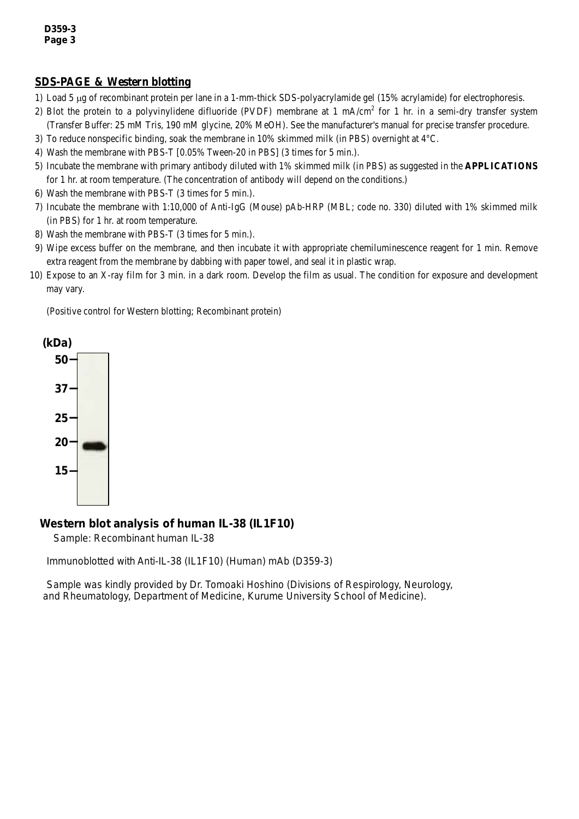#### **SDS-PAGE & Western blotting**

- 1) Load 5 µg of recombinant protein per lane in a 1-mm-thick SDS-polyacrylamide gel (15% acrylamide) for electrophoresis.
- 2) Blot the protein to a polyvinylidene difluoride (PVDF) membrane at 1 mA/cm<sup>2</sup> for 1 hr. in a semi-dry transfer system (Transfer Buffer: 25 mM Tris, 190 mM glycine, 20% MeOH). See the manufacturer's manual for precise transfer procedure.
- 3) To reduce nonspecific binding, soak the membrane in 10% skimmed milk (in PBS) overnight at 4°C.
- 4) Wash the membrane with PBS-T [0.05% Tween-20 in PBS] (3 times for 5 min.).
- 5) Incubate the membrane with primary antibody diluted with 1% skimmed milk (in PBS) as suggested in the **APPLICATIONS** for 1 hr. at room temperature. (The concentration of antibody will depend on the conditions.)
- 6) Wash the membrane with PBS-T (3 times for 5 min.).
- 7) Incubate the membrane with 1:10,000 of Anti-IgG (Mouse) pAb-HRP (MBL; code no. 330) diluted with 1% skimmed milk (in PBS) for 1 hr. at room temperature.
- 8) Wash the membrane with PBS-T (3 times for 5 min.).
- 9) Wipe excess buffer on the membrane, and then incubate it with appropriate chemiluminescence reagent for 1 min. Remove extra reagent from the membrane by dabbing with paper towel, and seal it in plastic wrap.
- 10) Expose to an X-ray film for 3 min. in a dark room. Develop the film as usual. The condition for exposure and development may vary.

(Positive control for Western blotting; Recombinant protein)



### *Western blot analysis of human IL-38 (IL1F10)*

Sample: Recombinant human IL-38

Immunoblotted with Anti-IL-38 (IL1F10) (Human) mAb (D359-3)

Sample was kindly provided by Dr. Tomoaki Hoshino (Divisions of Respirology, Neurology, and Rheumatology, Department of Medicine, Kurume University School of Medicine).